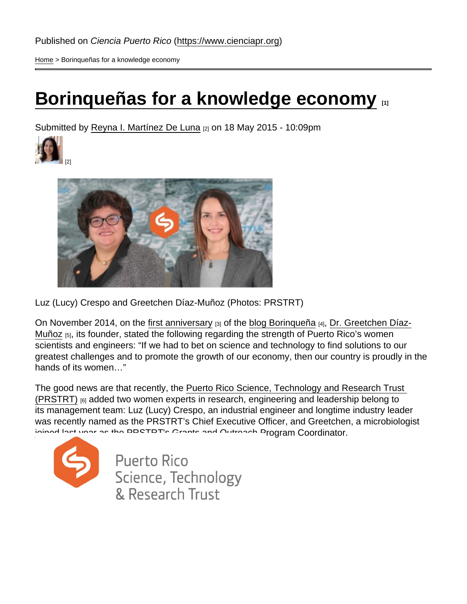[Home](https://www.cienciapr.org/en?language=en) > Borinqueñas for a knowledge economy

# [Borinqueñas for a knowledge economy](https://www.cienciapr.org/en/blogs/borinquena/borinquenas-knowledge-economy?language=en)  $\Box$

Submitted by [Reyna I. Martínez De Luna](https://www.cienciapr.org/en/user/remadel?language=en) [2] on 18 May 2015 - 10:09pm

[2]

Luz (Lucy) Crespo and Greetchen Díaz-Muñoz (Photos: PRSTRT)

On November 2014, on the [first anniversary](http://www.cienciapr.org/en/blogs/borinquena/when-being-borinquena-acquired-new-meaning) [3] of the [blog Borinqueña](http://www.cienciapr.org/en/blogs/borinquena) [4], [Dr. Greetchen Díaz-](http://www.cienciapr.org/user/gdm610)[Muñoz](http://www.cienciapr.org/user/gdm610) [5], its founder, stated the following regarding the strength of Puerto Rico's women scientists and engineers: "If we had to bet on science and technology to find solutions to our greatest challenges and to promote the growth of our economy, then our country is proudly in the hands of its women…"

The good news are that recently, the [Puerto Rico Science, Technology and Research Trust](http://prsciencetrust.org/)  [\(PRSTRT\)](http://prsciencetrust.org/) [6] added two women experts in research, engineering and leadership belong to its management team: Luz (Lucy) Crespo, an industrial engineer and longtime industry leader was recently named as the PRSTRT's Chief Executive Officer, and Greetchen, a microbiologist joined last year as the PRSTRT's Grants and Outreach Program Coordinator.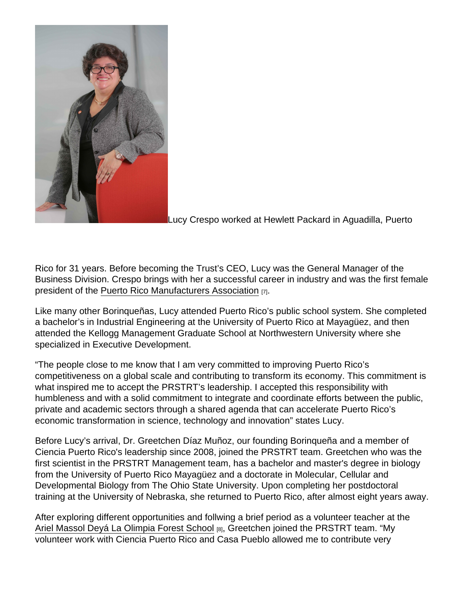Lucy Crespo worked at Hewlett Packard in Aguadilla, Puerto

Rico for 31 years. Before becoming the Trust's CEO, Lucy was the General Manager of the Business Division. Crespo brings with her a successful career in industry and was the first female president of the [Puerto Rico Manufacturers Association](http://industrialespr.org/) [7].

Like many other Borinqueñas, Lucy attended Puerto Rico's public school system. She completed a bachelor's in Industrial Engineering at the University of Puerto Rico at Mayagüez, and then attended the Kellogg Management Graduate School at Northwestern University where she specialized in Executive Development.

"The people close to me know that I am very committed to improving Puerto Rico's competitiveness on a global scale and contributing to transform its economy. This commitment is what inspired me to accept the PRSTRT's leadership. I accepted this responsibility with humbleness and with a solid commitment to integrate and coordinate efforts between the public, private and academic sectors through a shared agenda that can accelerate Puerto Rico's economic transformation in science, technology and innovation" states Lucy.

Before Lucy's arrival, Dr. Greetchen Díaz Muñoz, our founding Borinqueña and a member of Ciencia Puerto Rico's leadership since 2008, joined the PRSTRT team. Greetchen who was the first scientist in the PRSTRT Management team, has a bachelor and master's degree in biology from the University of Puerto Rico Mayagüez and a doctorate in Molecular, Cellular and Developmental Biology from The Ohio State University. Upon completing her postdoctoral training at the University of Nebraska, she returned to Puerto Rico, after almost eight years away.

After exploring different opportunities and follwing a brief period as a volunteer teacher at the [Ariel Massol Deyá La Olimpia Forest School](http://www.cienciapr.org/en/monthly-story/forest-our-greatest-teacher) [8], Greetchen joined the PRSTRT team. "My volunteer work with Ciencia Puerto Rico and Casa Pueblo allowed me to contribute very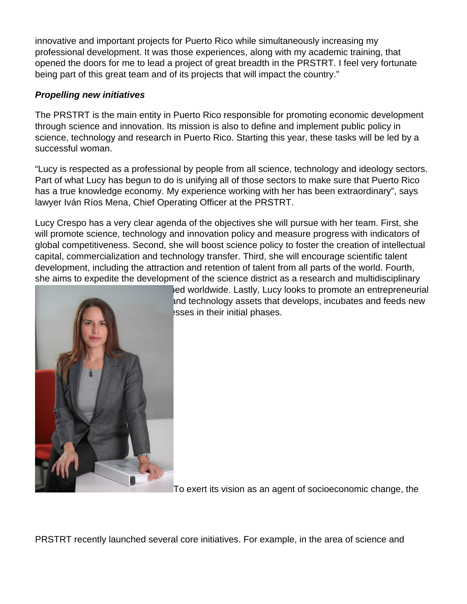innovative and important projects for Puerto Rico while simultaneously increasing my professional development. It was those experiences, along with my academic training, that opened the doors for me to lead a project of great breadth in the PRSTRT. I feel very fortunate being part of this great team and of its projects that will impact the country."

## **Propelling new initiatives**

The PRSTRT is the main entity in Puerto Rico responsible for promoting economic development through science and innovation. Its mission is also to define and implement public policy in science, technology and research in Puerto Rico. Starting this year, these tasks will be led by a successful woman.

"Lucy is respected as a professional by people from all science, technology and ideology sectors. Part of what Lucy has begun to do is unifying all of those sectors to make sure that Puerto Rico has a true knowledge economy. My experience working with her has been extraordinary", says lawyer Iván Ríos Mena, Chief Operating Officer at the PRSTRT.

Lucy Crespo has a very clear agenda of the objectives she will pursue with her team. First, she will promote science, technology and innovation policy and measure progress with indicators of global competitiveness. Second, she will boost science policy to foster the creation of intellectual capital, commercialization and technology transfer. Third, she will encourage scientific talent development, including the attraction and retention of talent from all parts of the world. Fourth, she aims to expedite the development of the science district as a research and multidisciplinary



ed worldwide. Lastly, Lucy looks to promote an entrepreneurial and technology assets that develops, incubates and feeds new  $s$ sses in their initial phases.

To exert its vision as an agent of socioeconomic change, the

PRSTRT recently launched several core initiatives. For example, in the area of science and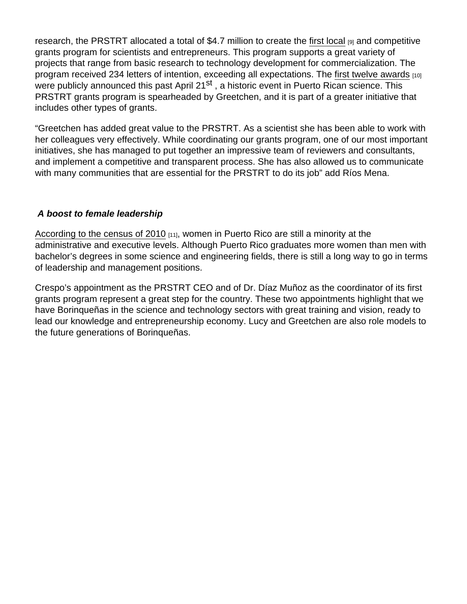research, the PRSTRT allocated a total of \$4.7 million to create the [first local](http://prsciencetrust.org/projects/fy2014-15-01-introduction/) [9] and competitive grants program for scientists and entrepreneurs. This program supports a great variety of projects that range from basic research to technology development for commercialization. The program received 234 letters of intention, exceeding all expectations. The [first twelve awards](http://prsciencetrust.org/first-grants-awarded-in-puerto-rico-to-researchers-for-the-development-of-12-scientific-projects/) [10] were publicly announced this past April 21<sup>st</sup>, a historic event in Puerto Rican science. This PRSTRT grants program is spearheaded by Greetchen, and it is part of a greater initiative that includes other types of grants.

"Greetchen has added great value to the PRSTRT. As a scientist she has been able to work with her colleagues very effectively. While coordinating our grants program, one of our most important initiatives, she has managed to put together an impressive team of reviewers and consultants, and implement a competitive and transparent process. She has also allowed us to communicate with many communities that are essential for the PRSTRT to do its job" add Ríos Mena.

### A boost to female leadership

[According to the census of 2010](http://caribbeanbusinesspr.com/prnt_ed/women-have-made-big-strides-in-puerto-rico-workplace-8859.html)  $_{[11]}$ , women in Puerto Rico are still a minority at the administrative and executive levels. Although Puerto Rico graduates more women than men with bachelor's degrees in some science and engineering fields, there is still a long way to go in terms of leadership and management positions.

Crespo's appointment as the PRSTRT CEO and of Dr. Díaz Muñoz as the coordinator of its first grants program represent a great step for the country. These two appointments highlight that we have Borinqueñas in the science and technology sectors with great training and vision, ready to lead our knowledge and entrepreneurship economy. Lucy and Greetchen are also role models to the future generations of Borinqueñas.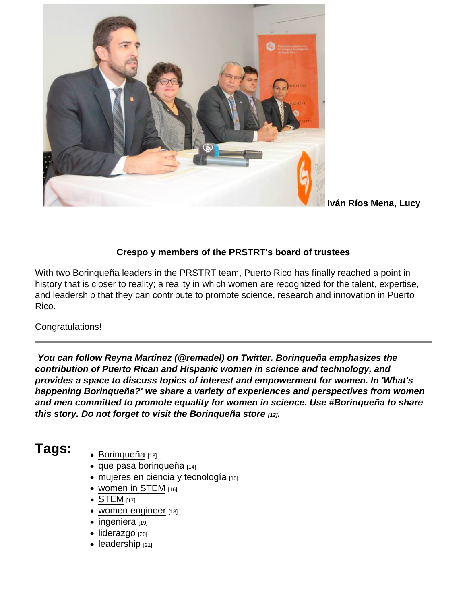Iván Ríos Mena, Lucy

# Crespo y members of the PRSTRT's board of trustees

With two Borinqueña leaders in the PRSTRT team, Puerto Rico has finally reached a point in history that is closer to reality; a reality in which women are recognized for the talent, expertise, and leadership that they can contribute to promote science, research and innovation in Puerto Rico.

Congratulations!

You can follow Reyna Martinez ( @remadel) on Twitter. Borinqueña emphasizes the contribution of Puerto Rican and Hispanic women in science and technology, and provides a space to discuss topics of interest and empowerment for women. In 'What's happening Borinqueña?' we share a variety of experiences and perspectives from women and men committed to promote equality for women in science. Use #Borinqueña to share this story. Do not forget to visit the Boringueña store  $\frac{1}{2}$ .

- Tags: **[Borinqueña](https://www.cienciapr.org/en/tags/borinquena?language=en)** [13]
	- $\bullet$  [que pasa borinqueña](https://www.cienciapr.org/en/tags/que-pasa-borinquena?language=en)  $[14]$
	- [mujeres en ciencia y tecnología](https://www.cienciapr.org/en/tags/mujeres-en-ciencia-y-tecnologia?language=en) [15]
	- [women in STEM](https://www.cienciapr.org/en/tags/women-stem?language=en) [16]
	- $\bullet$  [STEM](https://www.cienciapr.org/en/tags/stem?language=en) [17]
	- [women engineer](https://www.cienciapr.org/en/tags/women-engineer?language=en) [18]
	- [ingeniera](https://www.cienciapr.org/en/tags/ingeniera?language=en) [19]
	- **·** [liderazgo](https://www.cienciapr.org/en/tags/liderazgo?language=en) [20]
	- [leadership](https://www.cienciapr.org/en/tags/leadership?language=en) [21]